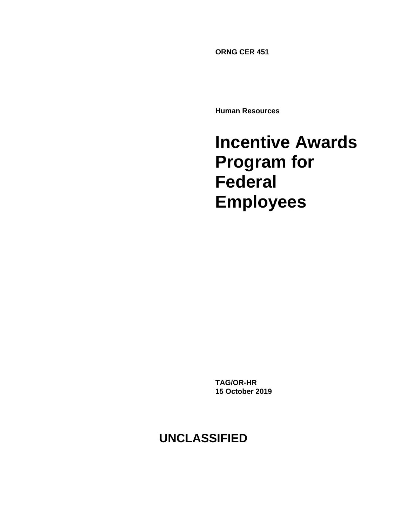**ORNG CER 451**

**Human Resources**

# **Incentive Awards Program for Federal Employees**

**TAG/OR-HR 15 October 2019**

**UNCLASSIFIED**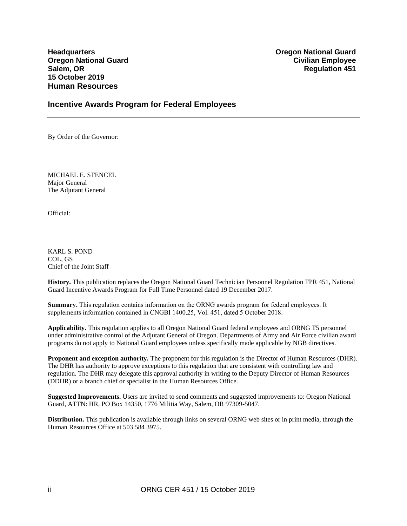**15 October 2019 Human Resources**

**Headquarters Oregon National Guard Oregon National Guard Civilian Employee Salem, OR Regulation 451** 

#### **Incentive Awards Program for Federal Employees**

By Order of the Governor:

MICHAEL E. STENCEL Major General The Adjutant General

Official:

KARL S. POND COL, GS Chief of the Joint Staff

**History.** This publication replaces the Oregon National Guard Technician Personnel Regulation TPR 451, National Guard Incentive Awards Program for Full Time Personnel dated 19 December 2017.

**Summary.** This regulation contains information on the ORNG awards program for federal employees. It supplements information contained in CNGBI 1400.25, Vol. 451, dated 5 October 2018.

**Applicability.** This regulation applies to all Oregon National Guard federal employees and ORNG T5 personnel under administrative control of the Adjutant General of Oregon. Departments of Army and Air Force civilian award programs do not apply to National Guard employees unless specifically made applicable by NGB directives.

**Proponent and exception authority.** The proponent for this regulation is the Director of Human Resources (DHR). The DHR has authority to approve exceptions to this regulation that are consistent with controlling law and regulation. The DHR may delegate this approval authority in writing to the Deputy Director of Human Resources (DDHR) or a branch chief or specialist in the Human Resources Office.

**Suggested Improvements.** Users are invited to send comments and suggested improvements to: Oregon National Guard, ATTN: HR, PO Box 14350, 1776 Militia Way, Salem, OR 97309-5047.

**Distribution.** This publication is available through links on several ORNG web sites or in print media, through the Human Resources Office at 503 584 3975.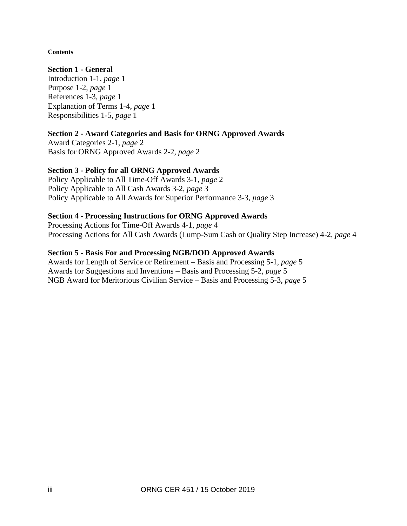#### **Contents**

#### **Section 1 - General**

Introduction 1-1, *page* 1 Purpose 1-2, *page* 1 References 1-3, *page* 1 Explanation of Terms 1-4, *page* 1 Responsibilities 1-5, *page* 1

## **Section 2 - Award Categories and Basis for ORNG Approved Awards**

Award Categories 2-1, *page* 2 Basis for ORNG Approved Awards 2-2, *page* 2

#### **Section 3 - Policy for all ORNG Approved Awards**

Policy Applicable to All Time-Off Awards 3-1, *page* 2 Policy Applicable to All Cash Awards 3-2, *page* 3 Policy Applicable to All Awards for Superior Performance 3-3, *page* 3

#### **Section 4 - Processing Instructions for ORNG Approved Awards**

Processing Actions for Time-Off Awards 4-1, *page* 4 Processing Actions for All Cash Awards (Lump-Sum Cash or Quality Step Increase) 4-2, *page* 4

#### **Section 5 - Basis For and Processing NGB/DOD Approved Awards**

Awards for Length of Service or Retirement – Basis and Processing 5-1, *page* 5 Awards for Suggestions and Inventions – Basis and Processing 5-2, *page* 5 NGB Award for Meritorious Civilian Service – Basis and Processing 5-3, *page* 5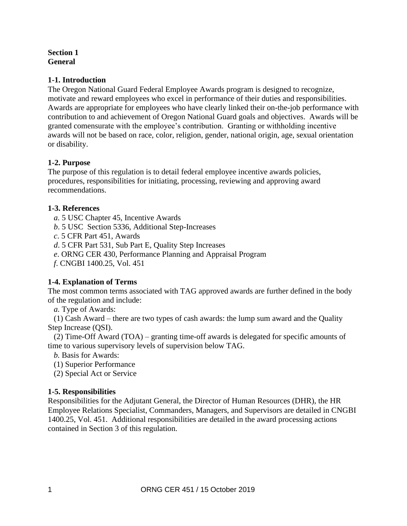#### **Section 1 General**

## **1-1. Introduction**

The Oregon National Guard Federal Employee Awards program is designed to recognize, motivate and reward employees who excel in performance of their duties and responsibilities. Awards are appropriate for employees who have clearly linked their on-the-job performance with contribution to and achievement of Oregon National Guard goals and objectives. Awards will be granted comensurate with the employee's contribution. Granting or withholding incentive awards will not be based on race, color, religion, gender, national origin, age, sexual orientation or disability.

## **1-2. Purpose**

The purpose of this regulation is to detail federal employee incentive awards policies, procedures, responsibilities for initiating, processing, reviewing and approving award recommendations.

## **1-3. References**

- *a.* 5 USC Chapter 45, Incentive Awards
- *b*. 5 USC Section 5336, Additional Step-Increases
- *c*. 5 CFR Part 451, Awards
- *d*. 5 CFR Part 531, Sub Part E, Quality Step Increases
- *e*. ORNG CER 430, Performance Planning and Appraisal Program
- *f*. CNGBI 1400.25, Vol. 451

## **1-4. Explanation of Terms**

The most common terms associated with TAG approved awards are further defined in the body of the regulation and include:

*a.* Type of Awards:

(1) Cash Award – there are two types of cash awards: the lump sum award and the Quality Step Increase (QSI).

(2) Time-Off Award (TOA) – granting time-off awards is delegated for specific amounts of time to various supervisory levels of supervision below TAG.

*b.* Basis for Awards:

- (1) Superior Performance
- (2) Special Act or Service

## **1-5. Responsibilities**

Responsibilities for the Adjutant General, the Director of Human Resources (DHR), the HR Employee Relations Specialist, Commanders, Managers, and Supervisors are detailed in CNGBI 1400.25, Vol. 451. Additional responsibilities are detailed in the award processing actions contained in Section 3 of this regulation.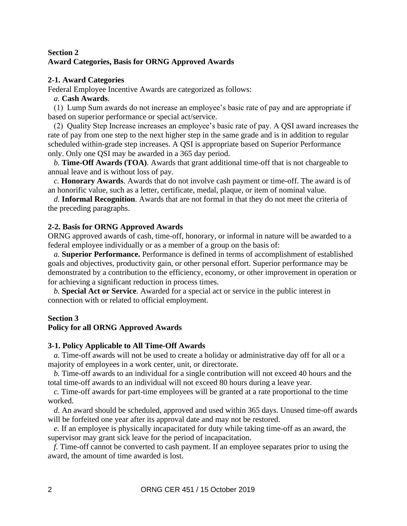## **Section 2 Award Categories, Basis for ORNG Approved Awards**

#### **2-1. Award Categories**

Federal Employee Incentive Awards are categorized as follows:

#### *a.* **Cash Awards**.

(1) Lump Sum awards do not increase an employee's basic rate of pay and are appropriate if based on superior performance or special act/service.

(2) Quality Step Increase increases an employee's basic rate of pay. A QSI award increases the rate of pay from one step to the next higher step in the same grade and is in addition to regular scheduled within-grade step increases. A QSI is appropriate based on Superior Performance only. Only one QSI may be awarded in a 365 day period.

*b.* **Time-Off Awards (TOA)**. Awards that grant additional time-off that is not chargeable to annual leave and is without loss of pay.

*c.* **Honorary Awards**. Awards that do not involve cash payment or time-off. The award is of an honorific value, such as a letter, certificate, medal, plaque, or item of nominal value.

*d.* **Informal Recognition**. Awards that are not formal in that they do not meet the criteria of the preceding paragraphs.

## **2-2. Basis for ORNG Approved Awards**

ORNG approved awards of cash, time-off, honorary, or informal in nature will be awarded to a federal employee individually or as a member of a group on the basis of:

*a.* **Superior Performance.** Performance is defined in terms of accomplishment of established goals and objectives, productivity gain, or other personal effort. Superior performance may be demonstrated by a contribution to the efficiency, economy, or other improvement in operation or for achieving a significant reduction in process times.

*b.* **Special Act or Service**. Awarded for a special act or service in the public interest in connection with or related to official employment.

#### **Section 3**

## **Policy for all ORNG Approved Awards**

#### **3-1. Policy Applicable to All Time-Off Awards**

*a.* Time-off awards will not be used to create a holiday or administrative day off for all or a majority of employees in a work center, unit, or directorate.

*b.* Time-off awards to an individual for a single contribution will not exceed 40 hours and the total time-off awards to an individual will not exceed 80 hours during a leave year.

*c.* Time-off awards for part-time employees will be granted at a rate proportional to the time worked.

*d.* An award should be scheduled, approved and used within 365 days. Unused time-off awards will be forfeited one year after its approval date and may not be restored.

*e.* If an employee is physically incapacitated for duty while taking time-off as an award, the supervisor may grant sick leave for the period of incapacitation.

*f.* Time-off cannot be converted to cash payment. If an employee separates prior to using the award, the amount of time awarded is lost.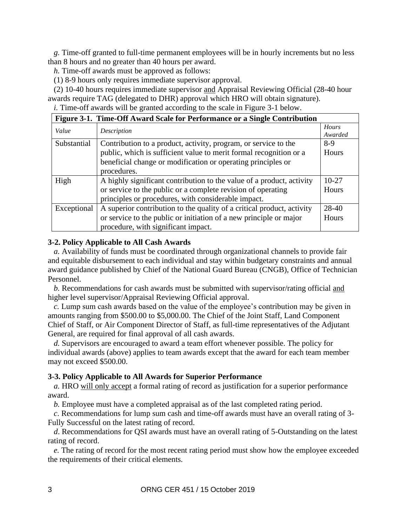*g.* Time-off granted to full-time permanent employees will be in hourly increments but no less than 8 hours and no greater than 40 hours per award.

*h.* Time-off awards must be approved as follows:

(1) 8-9 hours only requires immediate supervisor approval.

(2) 10-40 hours requires immediate supervisor and Appraisal Reviewing Official (28-40 hour awards require TAG (delegated to DHR) approval which HRO will obtain signature). *i.* Time-off awards will be granted according to the scale in Figure 3-1 below.

| Figure 3-1. Time-Off Award Scale for Performance or a Single Contribution |                                                                        |                  |
|---------------------------------------------------------------------------|------------------------------------------------------------------------|------------------|
| Value                                                                     | Description                                                            | Hours<br>Awarded |
| Substantial                                                               | Contribution to a product, activity, program, or service to the        | $8-9$            |
|                                                                           | public, which is sufficient value to merit formal recognition or a     | Hours            |
|                                                                           | beneficial change or modification or operating principles or           |                  |
|                                                                           | procedures.                                                            |                  |
| High                                                                      | A highly significant contribution to the value of a product, activity  | $10-27$          |
|                                                                           | or service to the public or a complete revision of operating           | Hours            |
|                                                                           | principles or procedures, with considerable impact.                    |                  |
| Exceptional                                                               | A superior contribution to the quality of a critical product, activity | 28-40            |
|                                                                           | or service to the public or initiation of a new principle or major     | Hours            |
|                                                                           | procedure, with significant impact.                                    |                  |

#### **3-2. Policy Applicable to All Cash Awards**

*a.* Availability of funds must be coordinated through organizational channels to provide fair and equitable disbursement to each individual and stay within budgetary constraints and annual award guidance published by Chief of the National Guard Bureau (CNGB), Office of Technician Personnel.

*b.* Recommendations for cash awards must be submitted with supervisor/rating official and higher level supervisor/Appraisal Reviewing Official approval.

*c.* Lump sum cash awards based on the value of the employee's contribution may be given in amounts ranging from \$500.00 to \$5,000.00. The Chief of the Joint Staff, Land Component Chief of Staff, or Air Component Director of Staff, as full-time representatives of the Adjutant General, are required for final approval of all cash awards.

*d.* Supervisors are encouraged to award a team effort whenever possible. The policy for individual awards (above) applies to team awards except that the award for each team member may not exceed \$500.00.

#### **3-3. Policy Applicable to All Awards for Superior Performance**

*a.* HRO will only accept a formal rating of record as justification for a superior performance award.

*b.* Employee must have a completed appraisal as of the last completed rating period.

*c*. Recommendations for lump sum cash and time-off awards must have an overall rating of 3- Fully Successful on the latest rating of record.

*d*. Recommendations for QSI awards must have an overall rating of 5-Outstanding on the latest rating of record.

*e.* The rating of record for the most recent rating period must show how the employee exceeded the requirements of their critical elements.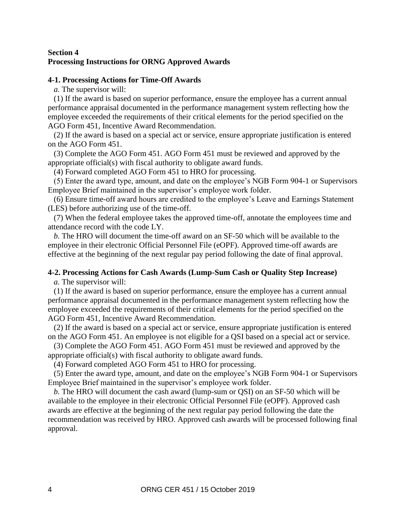#### **Section 4 Processing Instructions for ORNG Approved Awards**

#### **4-1. Processing Actions for Time-Off Awards**

*a.* The supervisor will:

(1) If the award is based on superior performance, ensure the employee has a current annual performance appraisal documented in the performance management system reflecting how the employee exceeded the requirements of their critical elements for the period specified on the AGO Form 451, Incentive Award Recommendation.

(2) If the award is based on a special act or service, ensure appropriate justification is entered on the AGO Form 451.

(3) Complete the AGO Form 451. AGO Form 451 must be reviewed and approved by the appropriate official(s) with fiscal authority to obligate award funds.

(4) Forward completed AGO Form 451 to HRO for processing.

(5) Enter the award type, amount, and date on the employee's NGB Form 904-1 or Supervisors Employee Brief maintained in the supervisor's employee work folder.

(6) Ensure time-off award hours are credited to the employee's Leave and Earnings Statement (LES) before authorizing use of the time-off.

(7) When the federal employee takes the approved time-off, annotate the employees time and attendance record with the code LY.

*b.* The HRO will document the time-off award on an SF-50 which will be available to the employee in their electronic Official Personnel File (eOPF). Approved time-off awards are effective at the beginning of the next regular pay period following the date of final approval.

# **4-2. Processing Actions for Cash Awards (Lump-Sum Cash or Quality Step Increase)**

*a.* The supervisor will:

(1) If the award is based on superior performance, ensure the employee has a current annual performance appraisal documented in the performance management system reflecting how the employee exceeded the requirements of their critical elements for the period specified on the AGO Form 451, Incentive Award Recommendation.

(2) If the award is based on a special act or service, ensure appropriate justification is entered on the AGO Form 451. An employee is not eligible for a QSI based on a special act or service.

(3) Complete the AGO Form 451. AGO Form 451 must be reviewed and approved by the appropriate official(s) with fiscal authority to obligate award funds.

(4) Forward completed AGO Form 451 to HRO for processing.

(5) Enter the award type, amount, and date on the employee's NGB Form 904-1 or Supervisors Employee Brief maintained in the supervisor's employee work folder.

*b.* The HRO will document the cash award (lump-sum or QSI) on an SF-50 which will be available to the employee in their electronic Official Personnel File (eOPF). Approved cash awards are effective at the beginning of the next regular pay period following the date the recommendation was received by HRO. Approved cash awards will be processed following final approval.